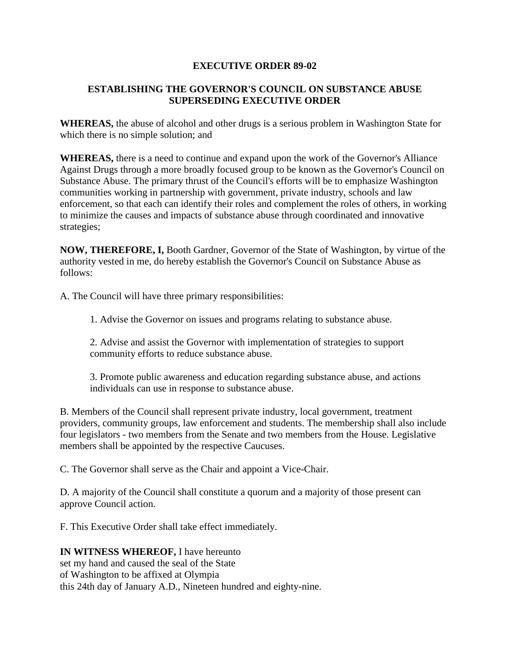## **EXECUTIVE ORDER 89-02**

## **ESTABLISHING THE GOVERNOR'S COUNCIL ON SUBSTANCE ABUSE SUPERSEDING EXECUTIVE ORDER**

**WHEREAS,** the abuse of alcohol and other drugs is a serious problem in Washington State for which there is no simple solution; and

**WHEREAS,** there is a need to continue and expand upon the work of the Governor's Alliance Against Drugs through a more broadly focused group to be known as the Governor's Council on Substance Abuse. The primary thrust of the Council's efforts will be to emphasize Washington communities working in partnership with government, private industry, schools and law enforcement, so that each can identify their roles and complement the roles of others, in working to minimize the causes and impacts of substance abuse through coordinated and innovative strategies;

**NOW, THEREFORE, I,** Booth Gardner, Governor of the State of Washington, by virtue of the authority vested in me, do hereby establish the Governor's Council on Substance Abuse as follows:

A. The Council will have three primary responsibilities:

1. Advise the Governor on issues and programs relating to substance abuse.

2. Advise and assist the Governor with implementation of strategies to support community efforts to reduce substance abuse.

3. Promote public awareness and education regarding substance abuse, and actions individuals can use in response to substance abuse.

B. Members of the Council shall represent private industry, local government, treatment providers, community groups, law enforcement and students. The membership shall also include four legislators - two members from the Senate and two members from the House. Legislative members shall be appointed by the respective Caucuses.

C. The Governor shall serve as the Chair and appoint a Vice-Chair.

D. A majority of the Council shall constitute a quorum and a majority of those present can approve Council action.

F. This Executive Order shall take effect immediately.

## **IN WITNESS WHEREOF,** I have hereunto

set my hand and caused the seal of the State of Washington to be affixed at Olympia this 24th day of January A.D., Nineteen hundred and eighty-nine.